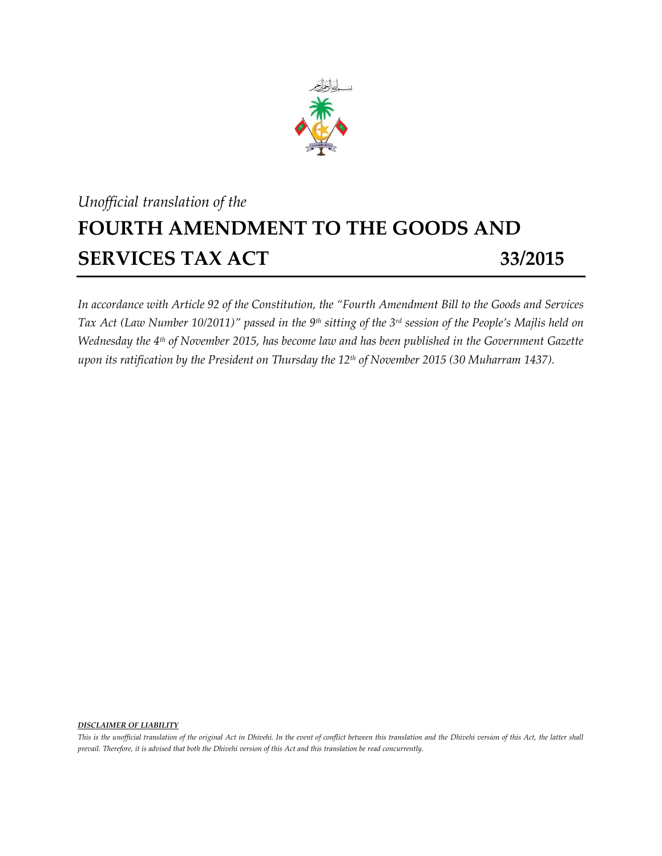

## *Unofficial translation of the* **FOURTH AMENDMENT TO THE GOODS AND SERVICES TAX ACT 33/2015**

*In accordance with Article 92 of the Constitution, the "Fourth Amendment Bill to the Goods and Services Tax Act (Law Number 10/2011)" passed in the 9 th sitting of the 3 rd session of the People's Majlis held on Wednesday the 4 th of November 2015, has become law and has been published in the Government Gazette upon its ratification by the President on Thursday the 12th of November 2015 (30 Muharram 1437).*

## *DISCLAIMER OF LIABILITY*

*This is the unofficial translation of the original Act in Dhivehi. In the event of conflict between this translation and the Dhivehi version of this Act, the latter shall prevail. Therefore, it is advised that both the Dhivehi version of this Act and this translation be read concurrently.*